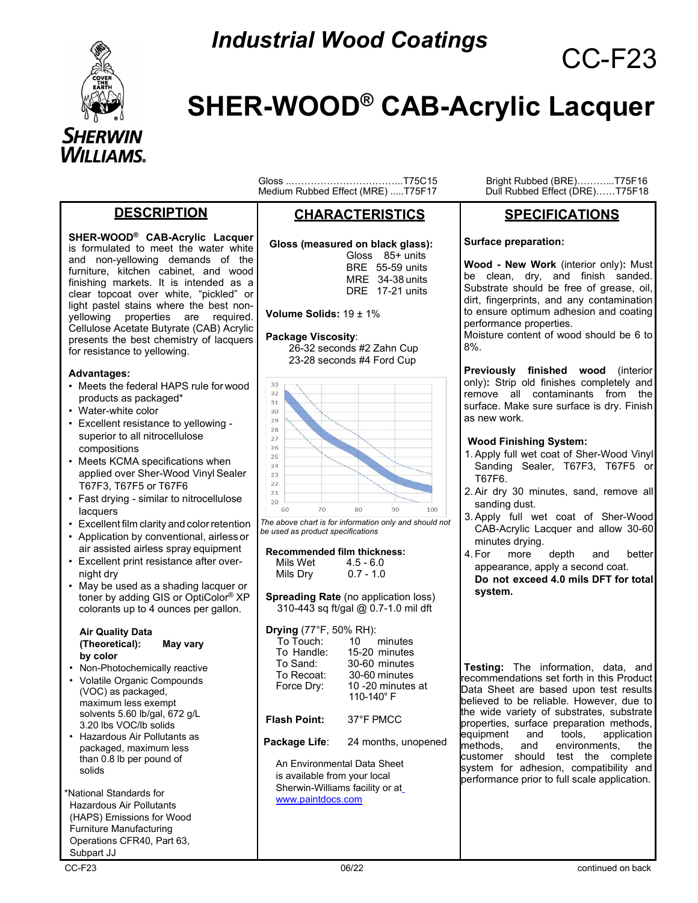

# *Industrial Wood Coatings* CC-F23

## **SHER-WOOD® CAB-Acrylic Lacquer**

#### **DESCRIPTION**

**SHER-WOOD® CAB-Acrylic Lacquer**  is formulated to meet the water white and non-yellowing demands of the furniture, kitchen cabinet, and wood finishing markets. It is intended as a clear topcoat over white, "pickled" or light pastel stains where the best nonyellowing properties are required. Cellulose Acetate Butyrate (CAB) Acrylic presents the best chemistry of lacquers for resistance to yellowing.

#### **Advantages:**

- Meets the federal HAPS rule for wood products as packaged\*
- Water-white color
- Excellent resistance to yellowing superior to all nitrocellulose compositions
- Meets KCMA specifications when applied over Sher-Wood Vinyl Sealer T67F3, T67F5 or T67F6
- Fast drying similar to nitrocellulose lacquers
- Excellent film clarity and color retention
- Application by conventional, airless or air assisted airless spray equipment
- Excellent print resistance after overnight dry
- May be used as a shading lacquer or toner by adding GIS or OptiColor® XP colorants up to 4 ounces per gallon.

#### **Air Quality Data (Theoretical): May vary by color**

- Non-Photochemically reactive
- Volatile Organic Compounds (VOC) as packaged, maximum less exempt solvents 5.60 lb/gal, 672 g/L 3.20 lbs VOC/lb solids
- Hazardous Air Pollutants as packaged, maximum less than 0.8 lb per pound of solids

\*National Standards for Hazardous Air Pollutants (HAPS) Emissions for Wood Furniture Manufacturing Operations CFR40, Part 63, Subpart JJ

Gloss ..……………………………..T75C15 Bright Rubbed (BRE)………...T75F16 Medium Rubbed Effect (MRE) .....T75F17

#### **CHARACTERISTICS**

 **Gloss (measured on black glass):**

| Gloss 85+ units        |
|------------------------|
| <b>BRE</b> 55-59 units |
| $MRE$ 34-38 units      |
| DRF 17-21 units        |

**Volume Solids:** 19 ± 1%

#### **Package Viscosity**:

26-32 seconds #2 Zahn Cup 23-28 seconds #4 Ford Cup



*The above chart is for information only and should not be used as product specifications*

|          | <b>Recommended film thickness:</b> |
|----------|------------------------------------|
| Mils Wet | $4.5 - 6.0$                        |
| Mils Dry | $0.7 - 1.0$                        |

**Spreading Rate** (no application loss) 310-443 sq ft/gal @ 0.7-1.0 mil dft

| <b>Drying</b> (77°F, 50% RH):<br>To Touch:<br>To Handle:<br>To Sand:<br>To Recoat:<br>Force Dry: | 10 minutes<br>15-20 minutes<br>30-60 minutes<br>30-60 minutes<br>10 -20 minutes at<br>110-140°F |  |
|--------------------------------------------------------------------------------------------------|-------------------------------------------------------------------------------------------------|--|
| <b>Flash Point:</b>                                                                              | 37°F PMCC                                                                                       |  |
| Package Life:                                                                                    | 24 months, unopened                                                                             |  |
| An Environmental Data Sheet                                                                      |                                                                                                 |  |

is available from your local Sherwin-Williams facility or [at](http://www.paintdocs.com/) [www.paintdocs.com](http://www.paintdocs.com/)

#### **SPECIFICATIONS**

**Surface preparation:** 

**Wood - New Work** (interior only)**:** Must be clean, dry, and finish sanded. Substrate should be free of grease, oil, dirt, fingerprints, and any contamination to ensure optimum adhesion and coating performance properties.

Moisture content of wood should be 6 to 8%.

**Previously finished wood** (interior only)**:** Strip old finishes completely and remove all contaminants from the surface. Make sure surface is dry. Finish as new work.

#### **Wood Finishing System:**

- 1.Apply full wet coat of Sher-Wood Vinyl Sanding Sealer, T67F3, T67F5 or T67F6.
- 2.Air dry 30 minutes, sand, remove all sanding dust.
- 3.Apply full wet coat of Sher-Wood CAB-Acrylic Lacquer and allow 30-60 minutes drying.
- 4. For more depth and better appearance, apply a second coat. **Do not exceed 4.0 mils DFT for total system.**

**Testing:** The information, data, and recommendations set forth in this Product Data Sheet are based upon test results believed to be reliable. However, due to the wide variety of substrates, substrate properties, surface preparation methods,<br>equipment and tools, application application methods, and environments, the customer should test the complete system for adhesion, compatibility and performance prior to full scale application.